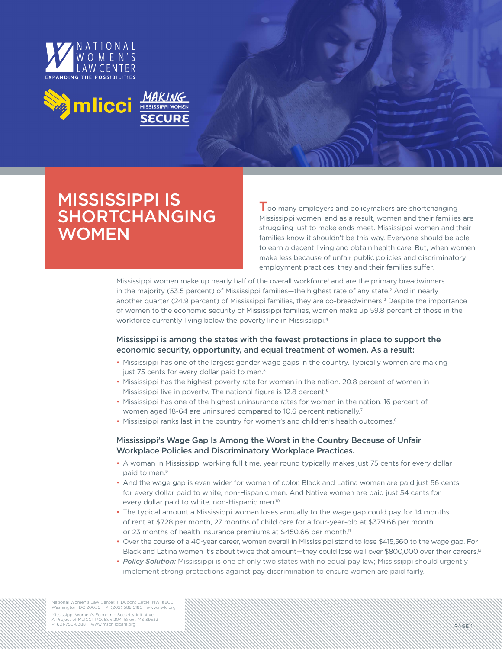



# MISSISSIPPI IS SHORTCHANGING **WOMEN**

**T**oo many employers and policymakers are shortchanging Mississippi women, and as a result, women and their families are struggling just to make ends meet. Mississippi women and their families know it shouldn't be this way. Everyone should be able to earn a decent living and obtain health care. But, when women make less because of unfair public policies and discriminatory employment practices, they and their families suffer.

PAGE 1

Mississippi women make up nearly half of the overall workforce<sup>1</sup> and are the primary breadwinners in the majority (53.5 percent) of Mississippi families—the highest rate of any state.<sup>2</sup> And in nearly another quarter (24.9 percent) of Mississippi families, they are co-breadwinners.<sup>3</sup> Despite the importance of women to the economic security of Mississippi families, women make up 59.8 percent of those in the workforce currently living below the poverty line in Mississippi.4

## Mississippi is among the states with the fewest protections in place to support the economic security, opportunity, and equal treatment of women. As a result:

- Mississippi has one of the largest gender wage gaps in the country. Typically women are making just 75 cents for every dollar paid to men.<sup>5</sup>
- Mississippi has the highest poverty rate for women in the nation. 20.8 percent of women in Mississippi live in poverty. The national figure is 12.8 percent.<sup>6</sup>
- Mississippi has one of the highest uninsurance rates for women in the nation. 16 percent of women aged 18-64 are uninsured compared to 10.6 percent nationally.<sup>7</sup>
- Mississippi ranks last in the country for women's and children's health outcomes.<sup>8</sup>

### Mississippi's Wage Gap Is Among the Worst in the Country Because of Unfair Workplace Policies and Discriminatory Workplace Practices.

- A woman in Mississippi working full time, year round typically makes just 75 cents for every dollar paid to men.<sup>9</sup>
- And the wage gap is even wider for women of color. Black and Latina women are paid just 56 cents for every dollar paid to white, non-Hispanic men. And Native women are paid just 54 cents for every dollar paid to white, non-Hispanic men.10
- The typical amount a Mississippi woman loses annually to the wage gap could pay for 14 months of rent at \$728 per month, 27 months of child care for a four-year-old at \$379.66 per month, or 23 months of health insurance premiums at \$450.66 per month.<sup>11</sup>
- Over the course of a 40-year career, women overall in Mississippi stand to lose \$415,560 to the wage gap. For Black and Latina women it's about twice that amount—they could lose well over \$800,000 over their careers.<sup>12</sup>
- *Policy Solution:* Mississippi is one of only two states with no equal pay law; Mississippi should urgently implement strong protections against pay discrimination to ensure women are paid fairly.

National Women's Law Center, 11 Dupont Circle, NW, #800, Washington, DC 20036 P: (202) 588 5180 www.nwlc.org Mississippi Women's Economic Security Initiativ

A Project of MLICCI, P.O. Box 204, Biloxi, MS 39533<br>P: 601-750-8388 www.mschildcare.org www.mschildcare.org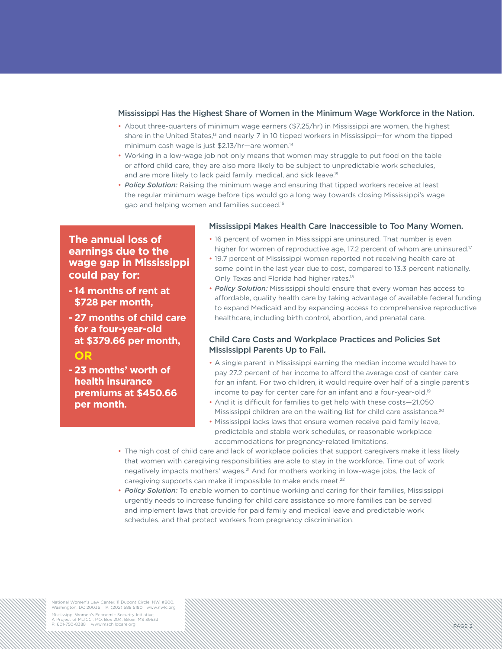#### Mississippi Has the Highest Share of Women in the Minimum Wage Workforce in the Nation.

- About three-quarters of minimum wage earners (\$7.25/hr) in Mississippi are women, the highest share in the United States,<sup>13</sup> and nearly 7 in 10 tipped workers in Mississippi-for whom the tipped minimum cash wage is just \$2.13/hr—are women.14
- Working in a low-wage job not only means that women may struggle to put food on the table or afford child care, they are also more likely to be subject to unpredictable work schedules, and are more likely to lack paid family, medical, and sick leave.<sup>15</sup>
- *Policy Solution:* Raising the minimum wage and ensuring that tipped workers receive at least the regular minimum wage before tips would go a long way towards closing Mississippi's wage gap and helping women and families succeed.16

# **The annual loss of earnings due to the wage gap in Mississippi could pay for:**

- **14 months of rent at \$728 per month,**
- **- 27 months of child care for a four-year-old at \$379.66 per month, OR**
- **23 months' worth of health insurance premiums at \$450.66 per month.**

#### Mississippi Makes Health Care Inaccessible to Too Many Women.

- 16 percent of women in Mississippi are uninsured. That number is even higher for women of reproductive age, 17.2 percent of whom are uninsured.<sup>17</sup>
- 19.7 percent of Mississippi women reported not receiving health care at some point in the last year due to cost, compared to 13.3 percent nationally. Only Texas and Florida had higher rates.<sup>18</sup>
- *Policy Solution:* Mississippi should ensure that every woman has access to affordable, quality health care by taking advantage of available federal funding to expand Medicaid and by expanding access to comprehensive reproductive healthcare, including birth control, abortion, and prenatal care.

#### Child Care Costs and Workplace Practices and Policies Set Mississippi Parents Up to Fail.

 • A single parent in Mississippi earning the median income would have to pay 27.2 percent of her income to afford the average cost of center care for an infant. For two children, it would require over half of a single parent's income to pay for center care for an infant and a four-year-old.19

PAGE 2

- And it is difficult for families to get help with these costs—21,050 Mississippi children are on the waiting list for child care assistance.<sup>20</sup>
- Mississippi lacks laws that ensure women receive paid family leave, predictable and stable work schedules, or reasonable workplace accommodations for pregnancy-related limitations.
- The high cost of child care and lack of workplace policies that support caregivers make it less likely that women with caregiving responsibilities are able to stay in the workforce. Time out of work negatively impacts mothers' wages.21 And for mothers working in low-wage jobs, the lack of caregiving supports can make it impossible to make ends meet.<sup>22</sup>
- *Policy Solution:* To enable women to continue working and caring for their families, Mississippi urgently needs to increase funding for child care assistance so more families can be served and implement laws that provide for paid family and medical leave and predictable work schedules, and that protect workers from pregnancy discrimination.

National Women's Law Center, 11 Dupont Circle, NW, #800, Washington, DC 20036 P: (202) 588 5180 www.nwlc.org Mississippi Women's Economic Security Initiativ

A Project of MLICCI, P.O. Box 204, Biloxi, MS 39533<br>P: 601-750-8388 www.mschildcare.org www.mschildcare.org